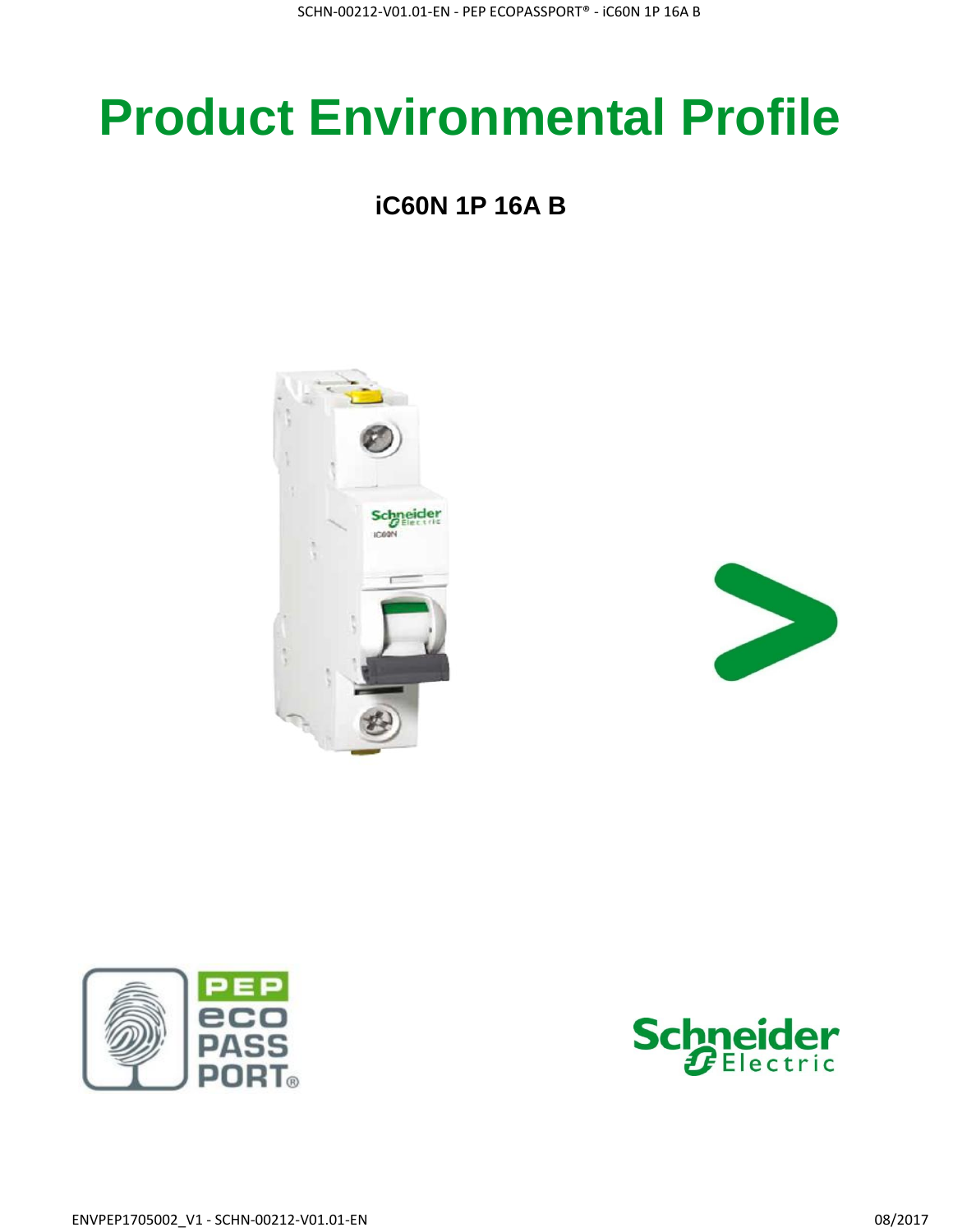# **Product Environmental Profile**

### **iC60N 1P 16A B**







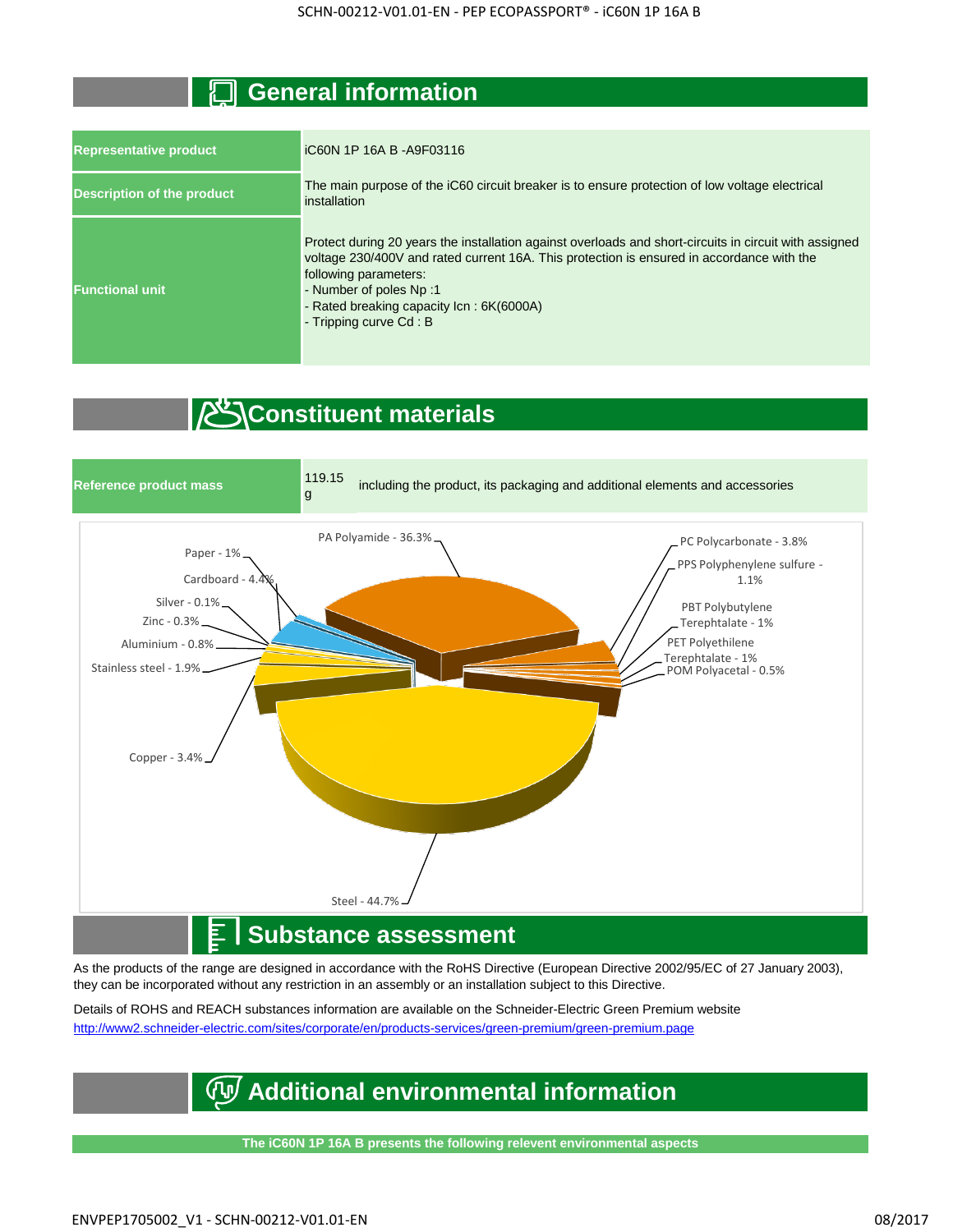#### **General information**

| <b>Representative product</b>     | iC60N 1P 16A B - A9F03116                                                                                                                                                                                                                                                                                                    |
|-----------------------------------|------------------------------------------------------------------------------------------------------------------------------------------------------------------------------------------------------------------------------------------------------------------------------------------------------------------------------|
| <b>Description of the product</b> | The main purpose of the iC60 circuit breaker is to ensure protection of low voltage electrical<br>installation                                                                                                                                                                                                               |
| <b>Functional unit</b>            | Protect during 20 years the installation against overloads and short-circuits in circuit with assigned<br>voltage 230/400V and rated current 16A. This protection is ensured in accordance with the<br>following parameters:<br>- Number of poles Np:1<br>- Rated breaking capacity Icn: 6K(6000A)<br>- Tripping curve Cd: B |

#### *C*Constituent materials



As the products of the range are designed in accordance with the RoHS Directive (European Directive 2002/95/EC of 27 January 2003), they can be incorporated without any restriction in an assembly or an installation subject to this Directive.

Details of ROHS and REACH substances information are available on the Schneider-Electric Green Premium website [http://www2.schneide](http://www2.schneider-electric.com/sites/corporate/en/products-services/green-premium/green-premium.page)r-electric.com/sites/corporate/en/products-services/green-premium/green-premium.page

#### **Additional environmental information**

**The iC60N 1P 16A B presents the following relevent environmental aspects**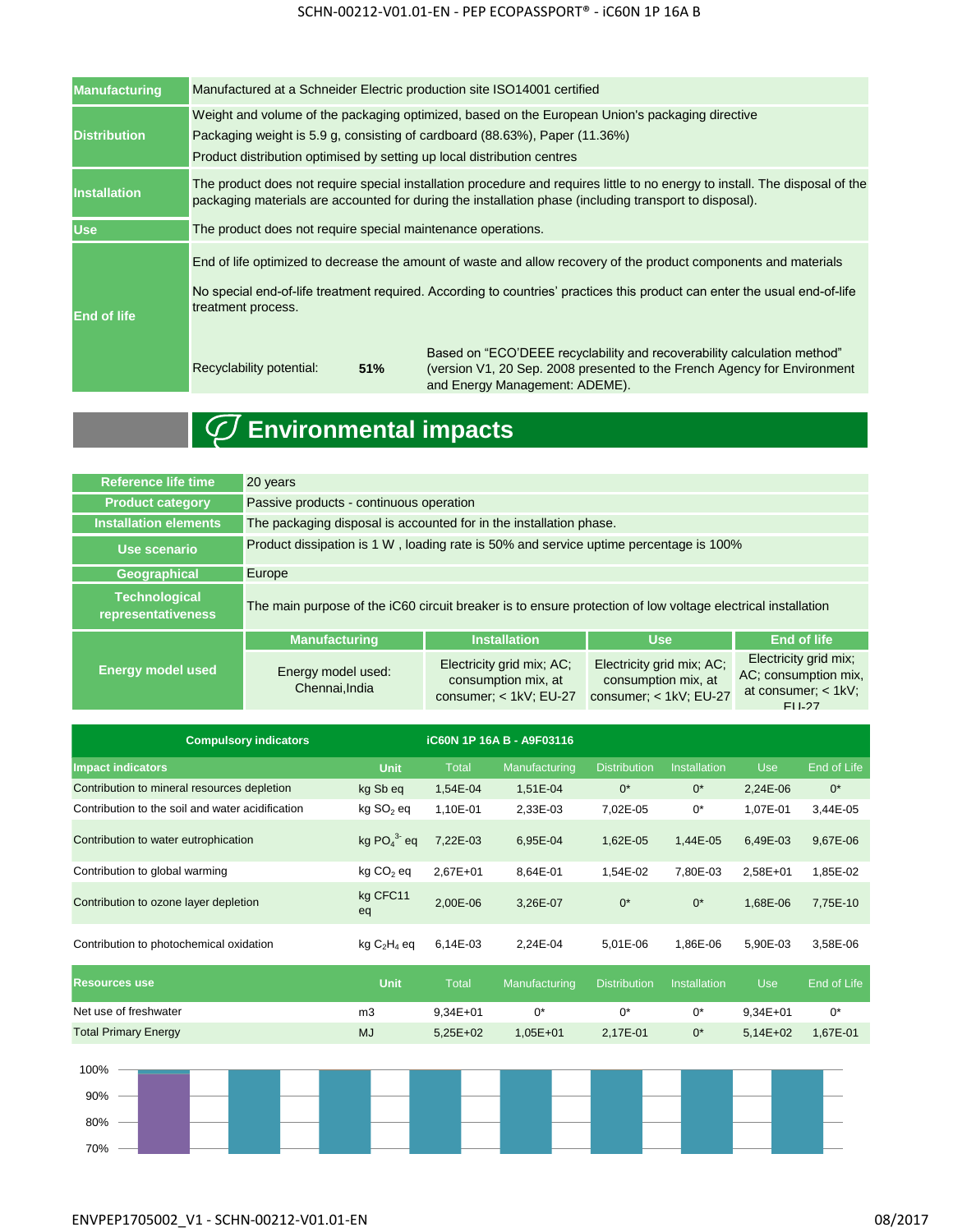#### SCHN-00212-V01.01-EN - PEP ECOPASSPORT® - iC60N 1P 16A B

| <b>Manufacturing</b> | Manufactured at a Schneider Electric production site ISO14001 certified                                                                                                                                                                                   |                                                                                                                                                                                                                                               |  |  |  |  |  |  |
|----------------------|-----------------------------------------------------------------------------------------------------------------------------------------------------------------------------------------------------------------------------------------------------------|-----------------------------------------------------------------------------------------------------------------------------------------------------------------------------------------------------------------------------------------------|--|--|--|--|--|--|
| <b>Distribution</b>  | Weight and volume of the packaging optimized, based on the European Union's packaging directive<br>Packaging weight is 5.9 g, consisting of cardboard (88.63%), Paper (11.36%)<br>Product distribution optimised by setting up local distribution centres |                                                                                                                                                                                                                                               |  |  |  |  |  |  |
| <b>Installation</b>  | The product does not require special installation procedure and requires little to no energy to install. The disposal of the<br>packaging materials are accounted for during the installation phase (including transport to disposal).                    |                                                                                                                                                                                                                                               |  |  |  |  |  |  |
| <b>Use</b>           | The product does not require special maintenance operations.                                                                                                                                                                                              |                                                                                                                                                                                                                                               |  |  |  |  |  |  |
| <b>End of life</b>   | treatment process.                                                                                                                                                                                                                                        | End of life optimized to decrease the amount of waste and allow recovery of the product components and materials<br>No special end-of-life treatment required. According to countries' practices this product can enter the usual end-of-life |  |  |  |  |  |  |
|                      | Recyclability potential:<br>51%                                                                                                                                                                                                                           | Based on "ECO'DEEE recyclability and recoverability calculation method"<br>(version V1, 20 Sep. 2008 presented to the French Agency for Environment<br>and Energy Management: ADEME).                                                         |  |  |  |  |  |  |

## **Environmental impacts**

| <b>Reference life time</b>                 | 20 years                                                                                                    |                                                                              |                                                                            |                                                                               |  |  |  |
|--------------------------------------------|-------------------------------------------------------------------------------------------------------------|------------------------------------------------------------------------------|----------------------------------------------------------------------------|-------------------------------------------------------------------------------|--|--|--|
| <b>Product category</b>                    | Passive products - continuous operation                                                                     |                                                                              |                                                                            |                                                                               |  |  |  |
| Installation elements                      | The packaging disposal is accounted for in the installation phase.                                          |                                                                              |                                                                            |                                                                               |  |  |  |
| Use scenario                               | Product dissipation is 1 W, loading rate is 50% and service uptime percentage is 100%                       |                                                                              |                                                                            |                                                                               |  |  |  |
| Geographical                               | Europe                                                                                                      |                                                                              |                                                                            |                                                                               |  |  |  |
| <b>Technological</b><br>representativeness | The main purpose of the iC60 circuit breaker is to ensure protection of low voltage electrical installation |                                                                              |                                                                            |                                                                               |  |  |  |
|                                            | <b>Manufacturing</b>                                                                                        | <b>Installation</b>                                                          | <b>Use</b>                                                                 | <b>End of life</b>                                                            |  |  |  |
| <b>Energy model used</b>                   | Energy model used:<br>Chennai, India                                                                        | Electricity grid mix; AC;<br>consumption mix, at<br>consumer; $<$ 1kV; EU-27 | Electricity grid mix; AC;<br>consumption mix, at<br>consumer: < 1kV: EU-27 | Electricity grid mix;<br>AC; consumption mix,<br>at consumer: < 1kV:<br>FU-27 |  |  |  |

| <b>Compulsory indicators</b>                     |                       |          | <b>iC60N 1P 16A B - A9F03116</b> |                     |              |            |             |
|--------------------------------------------------|-----------------------|----------|----------------------------------|---------------------|--------------|------------|-------------|
| <b>Impact indicators</b>                         | <b>Unit</b>           | Total    | Manufacturing                    | <b>Distribution</b> | Installation | <b>Use</b> | End of Life |
| Contribution to mineral resources depletion      | kg Sb eq              | 1,54E-04 | 1,51E-04                         | $0^*$               | $0^*$        | 2,24E-06   | $0^*$       |
| Contribution to the soil and water acidification | kg SO <sub>2</sub> eq | 1,10E-01 | 2,33E-03                         | 7,02E-05            | $0^*$        | 1,07E-01   | 3,44E-05    |
| Contribution to water eutrophication             | kg $PO43$ eq          | 7,22E-03 | 6,95E-04                         | 1,62E-05            | 1,44E-05     | 6,49E-03   | 9,67E-06    |
| Contribution to global warming                   | kg CO <sub>2</sub> eq | 2,67E+01 | 8,64E-01                         | 1,54E-02            | 7,80E-03     | 2,58E+01   | 1,85E-02    |
| Contribution to ozone layer depletion            | kg CFC11<br>eq        | 2,00E-06 | 3,26E-07                         | $0^*$               | $0^*$        | 1,68E-06   | 7,75E-10    |
| Contribution to photochemical oxidation          | $kg C2H4$ eq          | 6,14E-03 | 2,24E-04                         | 5,01E-06            | 1,86E-06     | 5,90E-03   | 3,58E-06    |
| <b>Resources use</b>                             | <b>Unit</b>           | Total    | Manufacturing                    | <b>Distribution</b> | Installation | <b>Use</b> | End of Life |
| Net use of freshwater                            | m3                    | 9,34E+01 | $0^*$                            | $0^*$               | $0^*$        | $9,34E+01$ | $0^*$       |
| <b>Total Primary Energy</b>                      | <b>MJ</b>             | 5,25E+02 | $1,05E+01$                       | 2,17E-01            | $0^*$        | $5,14E+02$ | 1,67E-01    |
| 100%<br>90%<br>80%<br>70%                        |                       |          |                                  |                     |              |            |             |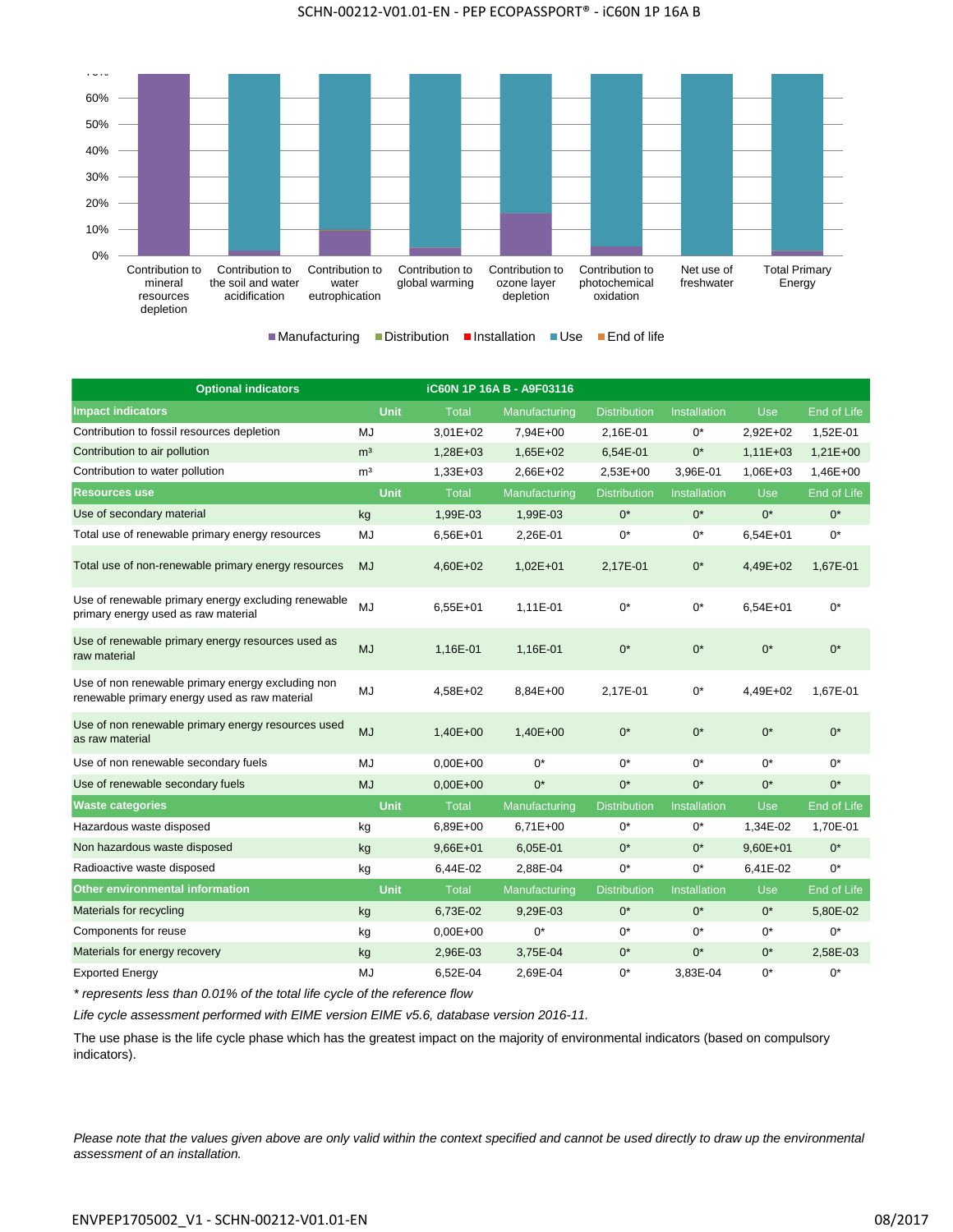



| <b>Optional indicators</b>                                                                         |                | <b>iC60N 1P 16A B - A9F03116</b> |               |                     |                     |            |             |
|----------------------------------------------------------------------------------------------------|----------------|----------------------------------|---------------|---------------------|---------------------|------------|-------------|
| <b>Impact indicators</b>                                                                           | <b>Unit</b>    | <b>Total</b>                     | Manufacturing | <b>Distribution</b> | <b>Installation</b> | <b>Use</b> | End of Life |
| Contribution to fossil resources depletion                                                         | <b>MJ</b>      | 3,01E+02                         | 7,94E+00      | 2,16E-01            | $0^*$               | 2,92E+02   | 1,52E-01    |
| Contribution to air pollution                                                                      | m <sup>3</sup> | 1,28E+03                         | $1,65E+02$    | 6,54E-01            | $0^*$               | $1,11E+03$ | $1,21E+00$  |
| Contribution to water pollution                                                                    | m <sup>3</sup> | 1,33E+03                         | 2,66E+02      | 2,53E+00            | 3,96E-01            | 1,06E+03   | 1,46E+00    |
| <b>Resources use</b>                                                                               | <b>Unit</b>    | <b>Total</b>                     | Manufacturing | <b>Distribution</b> | <b>Installation</b> | <b>Use</b> | End of Life |
| Use of secondary material                                                                          | kg             | 1,99E-03                         | 1,99E-03      | $0^*$               | $0^*$               | $0^*$      | $0^*$       |
| Total use of renewable primary energy resources                                                    | MJ             | 6,56E+01                         | 2,26E-01      | $0^*$               | 0*                  | $6,54E+01$ | $0^*$       |
| Total use of non-renewable primary energy resources                                                | <b>MJ</b>      | 4,60E+02                         | $1,02E+01$    | 2,17E-01            | $0^*$               | 4,49E+02   | 1,67E-01    |
| Use of renewable primary energy excluding renewable<br>primary energy used as raw material         | MJ             | $6,55E+01$                       | 1,11E-01      | $0^*$               | $0^*$               | $6,54E+01$ | $0^*$       |
| Use of renewable primary energy resources used as<br>raw material                                  | <b>MJ</b>      | 1,16E-01                         | 1,16E-01      | $0^*$               | $0^*$               | $0^*$      | $0^*$       |
| Use of non renewable primary energy excluding non<br>renewable primary energy used as raw material | MJ             | 4,58E+02                         | 8,84E+00      | 2,17E-01            | $0^*$               | 4,49E+02   | 1,67E-01    |
| Use of non renewable primary energy resources used<br>as raw material                              | <b>MJ</b>      | 1,40E+00                         | $1,40E+00$    | $0^*$               | $0^*$               | $0^*$      | $0^*$       |
| Use of non renewable secondary fuels                                                               | MJ             | $0.00E + 00$                     | $0^*$         | $0^*$               | $0^*$               | $0^*$      | $0^*$       |
| Use of renewable secondary fuels                                                                   | <b>MJ</b>      | $0,00E+00$                       | $0^*$         | $0^*$               | $0^*$               | $0^*$      | $0^*$       |
| <b>Waste categories</b>                                                                            | <b>Unit</b>    | <b>Total</b>                     | Manufacturing | <b>Distribution</b> | Installation        | <b>Use</b> | End of Life |
| Hazardous waste disposed                                                                           | kg             | 6.89E+00                         | $6,71E+00$    | $0^*$               | $0^*$               | 1.34E-02   | 1,70E-01    |
| Non hazardous waste disposed                                                                       | kg             | 9,66E+01                         | 6,05E-01      | $0^*$               | $0^*$               | 9,60E+01   | $0^*$       |
| Radioactive waste disposed                                                                         | kg             | 6,44E-02                         | 2,88E-04      | $0^*$               | $0^*$               | 6,41E-02   | $0^*$       |
| <b>Other environmental information</b>                                                             | <b>Unit</b>    | <b>Total</b>                     | Manufacturing | <b>Distribution</b> | Installation        | <b>Use</b> | End of Life |
| Materials for recycling                                                                            | kg             | 6,73E-02                         | 9,29E-03      | $0^*$               | $0^*$               | $0^*$      | 5,80E-02    |
| Components for reuse                                                                               | kg             | $0.00E + 00$                     | $0^*$         | $0^*$               | $0^*$               | $0^*$      | $0^*$       |
| Materials for energy recovery                                                                      | kg             | 2,96E-03                         | 3,75E-04      | $0^*$               | $0^*$               | $0^*$      | 2,58E-03    |
| <b>Exported Energy</b>                                                                             | MJ             | 6.52E-04                         | 2,69E-04      | $0^*$               | 3.83E-04            | $0^*$      | $0^*$       |

*\* represents less than 0.01% of the total life cycle of the reference flow*

*Life cycle assessment performed with EIME version EIME v5.6, database version 2016-11.*

The use phase is the life cycle phase which has the greatest impact on the majority of environmental indicators (based on compulsory indicators).

*Please note that the values given above are only valid within the context specified and cannot be used directly to draw up the environmental assessment of an installation.*